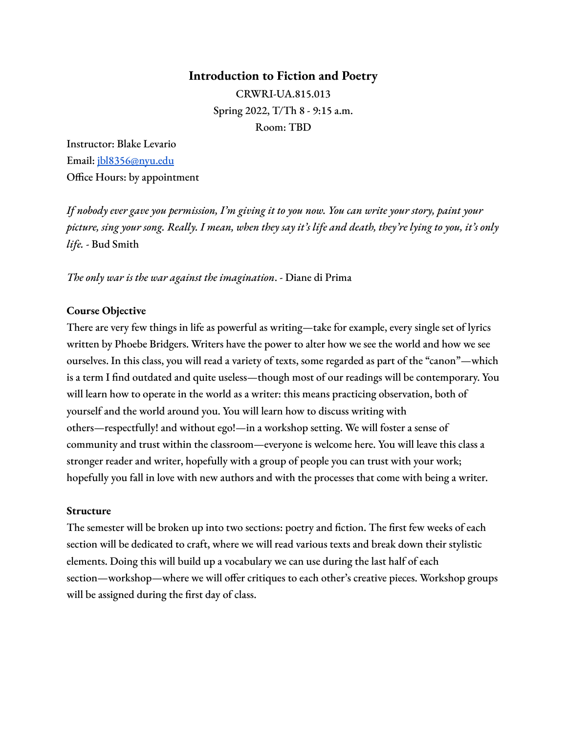#### **Introduction to Fiction and Poetry**

CRWRI-UA.815.013 Spring 2022, T/Th 8 - 9:15 a.m. Room: TBD

Instructor: Blake Levario Email: [jbl8356@nyu.edu](mailto:jbl8356@nyu.edu) Office Hours: by appointment

*If nobody ever gave you permission, I'm giving it to you now. You can write your story, paint your* picture, sing your song. Really. I mean, when they say it's life and death, they're lying to you, it's only *life.* - Bud Smith

*The only war is the war against the imagination*. - Diane di Prima

#### **Course Objective**

There are very few things in life as powerful as writing—take for example, every single set of lyrics written by Phoebe Bridgers. Writers have the power to alter how we see the world and how we see ourselves. In this class, you will read a variety of texts, some regarded as part of the "canon"—which is a term I find outdated and quite useless—though most of our readings will be contemporary. You will learn how to operate in the world as a writer: this means practicing observation, both of yourself and the world around you. You will learn how to discuss writing with others—respectfully! and without ego!—in a workshop setting. We will foster a sense of community and trust within the classroom—everyone is welcome here. You will leave this class a stronger reader and writer, hopefully with a group of people you can trust with your work; hopefully you fall in love with new authors and with the processes that come with being a writer.

#### **Structure**

The semester will be broken up into two sections: poetry and fiction. The first few weeks of each section will be dedicated to craft, where we will read various texts and break down their stylistic elements. Doing this will build up a vocabulary we can use during the last half of each section—workshop—where we will offer critiques to each other's creative pieces. Workshop groups will be assigned during the first day of class.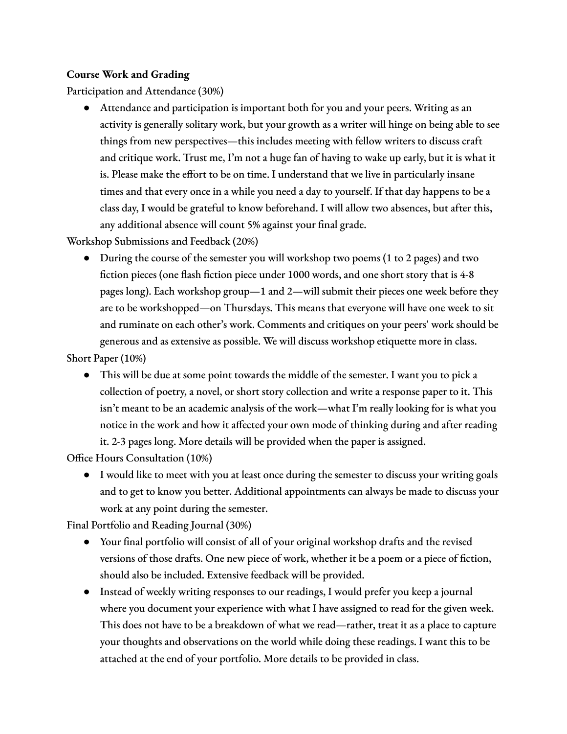### **Course Work and Grading**

Participation and Attendance (30%)

● Attendance and participation is important both for you and your peers. Writing as an activity is generally solitary work, but your growth as a writer will hinge on being able to see things from new perspectives—this includes meeting with fellow writers to discuss craft and critique work. Trust me, I'm not a huge fan of having to wake up early, but it is what it is. Please make the effort to be on time. I understand that we live in particularly insane times and that every once in a while you need a day to yourself. If that day happens to be a class day, I would be grateful to know beforehand. I will allow two absences, but after this, any additional absence will count 5% against your final grade.

Workshop Submissions and Feedback (20%)

• During the course of the semester you will workshop two poems (1 to 2 pages) and two fiction pieces (one flash fiction piece under 1000 words, and one short story that is 4-8 pages long). Each workshop group—1 and 2—will submit their pieces one week before they are to be workshopped—on Thursdays. This means that everyone will have one week to sit and ruminate on each other's work. Comments and critiques on your peers' work should be generous and as extensive as possible. We will discuss workshop etiquette more in class.

Short Paper (10%)

● This will be due at some point towards the middle of the semester. I want you to pick a collection of poetry, a novel, or short story collection and write a response paper to it. This isn't meant to be an academic analysis of the work—what I'm really looking for is what you notice in the work and how it affected your own mode of thinking during and after reading it. 2-3 pages long. More details will be provided when the paper is assigned.

Office Hours Consultation (10%)

● I would like to meet with you at least once during the semester to discuss your writing goals and to get to know you better. Additional appointments can always be made to discuss your work at any point during the semester.

Final Portfolio and Reading Journal (30%)

- Your final portfolio will consist of all of your original workshop drafts and the revised versions of those drafts. One new piece of work, whether it be a poem or a piece of fiction, should also be included. Extensive feedback will be provided.
- Instead of weekly writing responses to our readings, I would prefer you keep a journal where you document your experience with what I have assigned to read for the given week. This does not have to be a breakdown of what we read—rather, treat it as a place to capture your thoughts and observations on the world while doing these readings. I want this to be attached at the end of your portfolio. More details to be provided in class.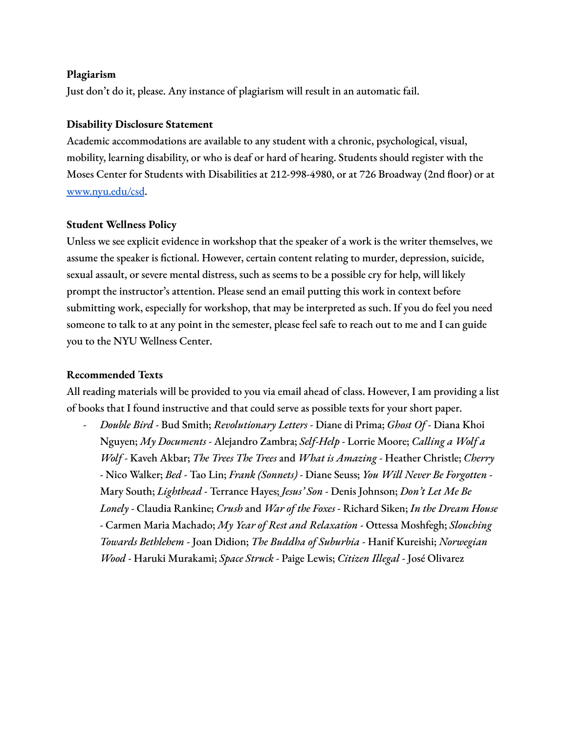#### **Plagiarism**

Just don't do it, please. Any instance of plagiarism will result in an automatic fail.

#### **Disability Disclosure Statement**

Academic accommodations are available to any student with a chronic, psychological, visual, mobility, learning disability, or who is deaf or hard of hearing. Students should register with the Moses Center for Students with Disabilities at 212-998-4980, or at 726 Broadway (2nd floor) or at [www.nyu.edu/csd](http://www.nyu.edu/csd).

#### **Student Wellness Policy**

Unless we see explicit evidence in workshop that the speaker of a work is the writer themselves, we assume the speaker is fictional. However, certain content relating to murder, depression, suicide, sexual assault, or severe mental distress, such as seems to be a possible cry for help, will likely prompt the instructor's attention. Please send an email putting this work in context before submitting work, especially for workshop, that may be interpreted as such. If you do feel you need someone to talk to at any point in the semester, please feel safe to reach out to me and I can guide you to the NYU Wellness Center.

#### **Recommended Texts**

All reading materials will be provided to you via email ahead of class. However, I am providing a list of books that I found instructive and that could serve as possible texts for your short paper.

*- Double Bird* - Bud Smith; *Revolutionary Letters* - Diane di Prima; *Ghost Of* - Diana Khoi Nguyen; *My Documents* - Alejandro Zambra; *Self-Help* - Lorrie Moore; *Calling a Wolf a Wolf* - Kaveh Akbar; *The Trees The Trees* and *What is Amazing* - Heather Christle; *Cherry* - Nico Walker; *Bed* - Tao Lin; *Frank (Sonnets)* - Diane Seuss; *You Will Never Be Forgotten* - Mary South; *Lighthead* - Terrance Hayes; *Jesus' Son* - Denis Johnson; *Don't Let Me Be Lonely* - Claudia Rankine; *Crush* and *War of the Foxes* - Richard Siken; *In the Dream House* - Carmen Maria Machado; *My Year of Rest and Relaxation* - Ottessa Moshfegh; *Slouching Towards Bethlehem* - Joan Didion; *The Buddha of Suburbia* - Hanif Kureishi; *Norwegian Wood* - Haruki Murakami; *Space Struck* - Paige Lewis; *Citizen Illegal* - José Olivarez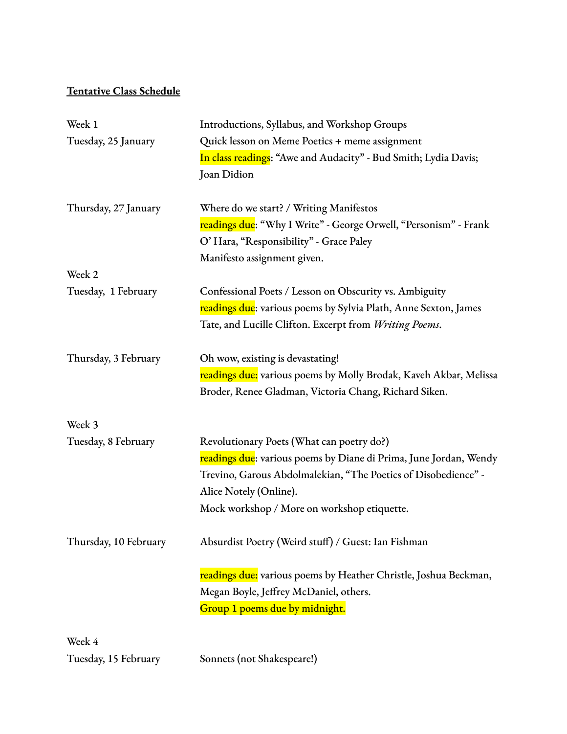# **Tentative Class Schedule**

| Week 1                | Introductions, Syllabus, and Workshop Groups                                    |
|-----------------------|---------------------------------------------------------------------------------|
| Tuesday, 25 January   | Quick lesson on Meme Poetics + meme assignment                                  |
|                       | In class readings: "Awe and Audacity" - Bud Smith; Lydia Davis;                 |
|                       | Joan Didion                                                                     |
| Thursday, 27 January  | Where do we start? / Writing Manifestos                                         |
|                       | <mark>readings due</mark> : "Why I Write" - George Orwell, "Personism" - Frank  |
|                       | O' Hara, "Responsibility" - Grace Paley                                         |
|                       | Manifesto assignment given.                                                     |
| Week 2                |                                                                                 |
| Tuesday, 1 February   | Confessional Poets / Lesson on Obscurity vs. Ambiguity                          |
|                       | readings due: various poems by Sylvia Plath, Anne Sexton, James                 |
|                       | Tate, and Lucille Clifton. Excerpt from Writing Poems.                          |
| Thursday, 3 February  | Oh wow, existing is devastating!                                                |
|                       | readings due: various poems by Molly Brodak, Kaveh Akbar, Melissa               |
|                       | Broder, Renee Gladman, Victoria Chang, Richard Siken.                           |
| Week 3                |                                                                                 |
| Tuesday, 8 February   | Revolutionary Poets (What can poetry do?)                                       |
|                       | <mark>readings due</mark> : various poems by Diane di Prima, June Jordan, Wendy |
|                       | Trevino, Garous Abdolmalekian, "The Poetics of Disobedience" -                  |
|                       | Alice Notely (Online).                                                          |
|                       | Mock workshop / More on workshop etiquette.                                     |
| Thursday, 10 February | Absurdist Poetry (Weird stuff) / Guest: Ian Fishman                             |
|                       | readings due: various poems by Heather Christle, Joshua Beckman,                |
|                       | Megan Boyle, Jeffrey McDaniel, others.                                          |
|                       | Group 1 poems due by midnight.                                                  |
| Week 4                |                                                                                 |
| Tuesday, 15 February  | Sonnets (not Shakespeare!)                                                      |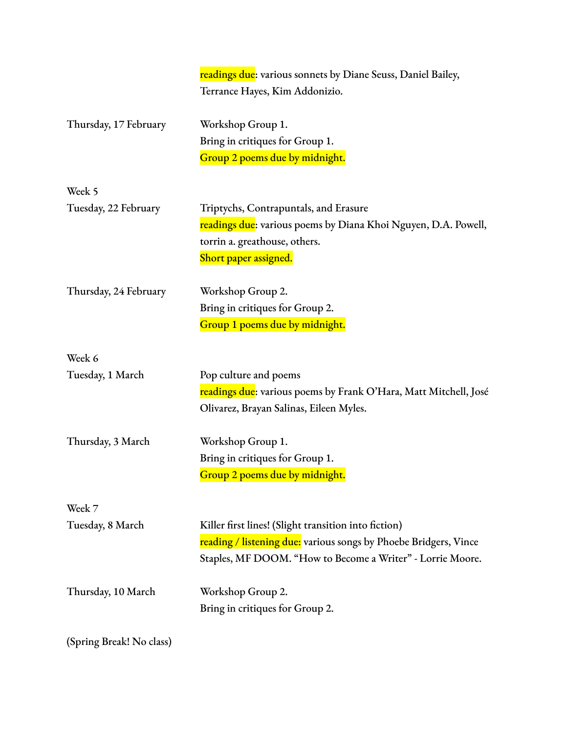|                          | readings due: various sonnets by Diane Seuss, Daniel Bailey,     |
|--------------------------|------------------------------------------------------------------|
|                          | Terrance Hayes, Kim Addonizio.                                   |
|                          |                                                                  |
| Thursday, 17 February    | Workshop Group 1.                                                |
|                          | Bring in critiques for Group 1.                                  |
|                          | Group 2 poems due by midnight.                                   |
| Week 5                   |                                                                  |
| Tuesday, 22 February     | Triptychs, Contrapuntals, and Erasure                            |
|                          | readings due: various poems by Diana Khoi Nguyen, D.A. Powell,   |
|                          | torrin a. greathouse, others.                                    |
|                          | Short paper assigned.                                            |
| Thursday, 24 February    | Workshop Group 2.                                                |
|                          | Bring in critiques for Group 2.                                  |
|                          | Group 1 poems due by midnight.                                   |
|                          |                                                                  |
| Week 6                   |                                                                  |
| Tuesday, 1 March         | Pop culture and poems                                            |
|                          | readings due: various poems by Frank O'Hara, Matt Mitchell, José |
|                          | Olivarez, Brayan Salinas, Eileen Myles.                          |
| Thursday, 3 March        | Workshop Group 1.                                                |
|                          | Bring in critiques for Group 1.                                  |
|                          | Group 2 poems due by midnight.                                   |
| Week 7                   |                                                                  |
| Tuesday, 8 March         | Killer first lines! (Slight transition into fiction)             |
|                          | reading / listening due: various songs by Phoebe Bridgers, Vince |
|                          | Staples, MF DOOM. "How to Become a Writer" - Lorrie Moore.       |
| Thursday, 10 March       | Workshop Group 2.                                                |
|                          | Bring in critiques for Group 2.                                  |
|                          |                                                                  |
| (Spring Break! No class) |                                                                  |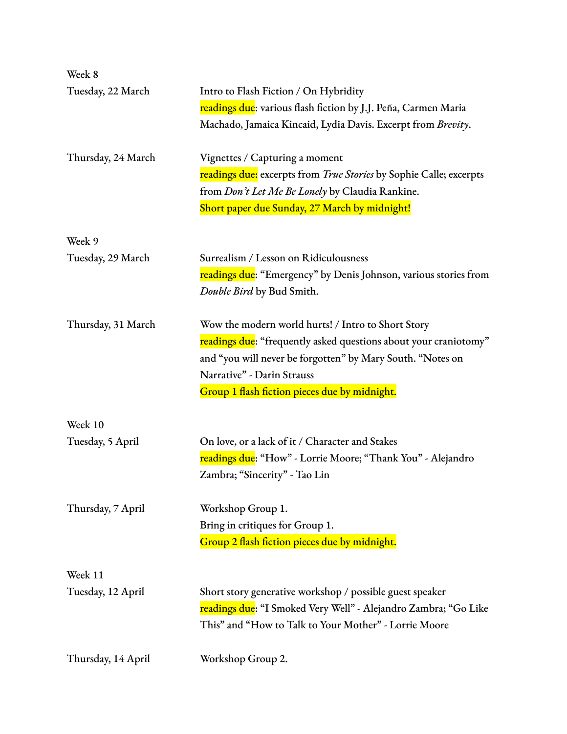| Week 8             |                                                                                |
|--------------------|--------------------------------------------------------------------------------|
| Tuesday, 22 March  | Intro to Flash Fiction / On Hybridity                                          |
|                    | readings due: various flash fiction by J.J. Peña, Carmen Maria                 |
|                    | Machado, Jamaica Kincaid, Lydia Davis. Excerpt from Brevity.                   |
| Thursday, 24 March | Vignettes / Capturing a moment                                                 |
|                    | readings due: excerpts from True Stories by Sophie Calle; excerpts             |
|                    | from Don't Let Me Be Lonely by Claudia Rankine.                                |
|                    | Short paper due Sunday, 27 March by midnight!                                  |
| Week 9             |                                                                                |
| Tuesday, 29 March  | Surrealism / Lesson on Ridiculousness                                          |
|                    | readings due: "Emergency" by Denis Johnson, various stories from               |
|                    | Double Bird by Bud Smith.                                                      |
| Thursday, 31 March | Wow the modern world hurts! / Intro to Short Story                             |
|                    | <mark>readings due</mark> : "frequently asked questions about your craniotomy" |
|                    | and "you will never be forgotten" by Mary South. "Notes on                     |
|                    | Narrative" - Darin Strauss                                                     |
|                    | Group 1 flash fiction pieces due by midnight.                                  |
| Week 10            |                                                                                |
| Tuesday, 5 April   | On love, or a lack of it / Character and Stakes                                |
|                    | readings due: "How" - Lorrie Moore; "Thank You" - Alejandro                    |
|                    | Zambra; "Sincerity" - Tao Lin                                                  |
| Thursday, 7 April  | Workshop Group 1.                                                              |
|                    | Bring in critiques for Group 1.                                                |
|                    | Group 2 flash fiction pieces due by midnight.                                  |
| Week 11            |                                                                                |
| Tuesday, 12 April  | Short story generative workshop / possible guest speaker                       |
|                    | <mark>readings due</mark> : "I Smoked Very Well" - Alejandro Zambra; "Go Like  |
|                    | This" and "How to Talk to Your Mother" - Lorrie Moore                          |
|                    |                                                                                |
| Thursday, 14 April | Workshop Group 2.                                                              |